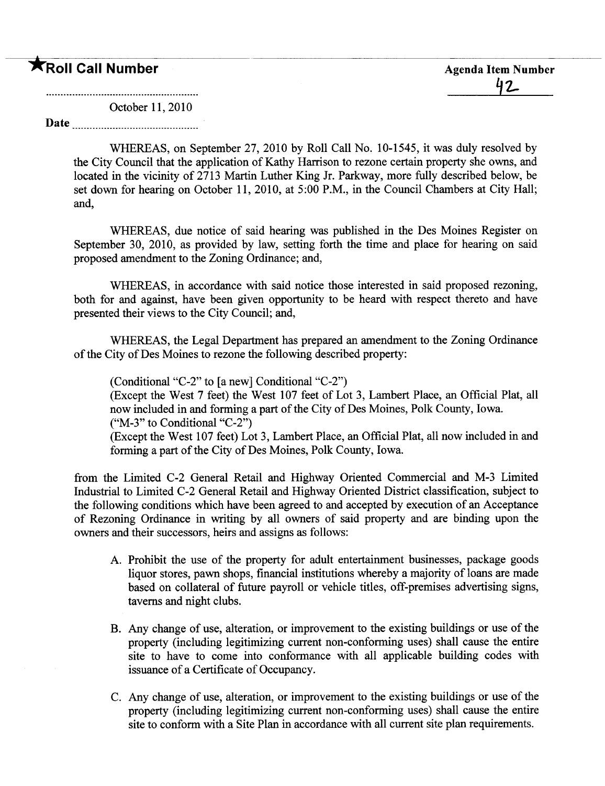# **The Second Call Number Agenda Item Number Agenda Item Number**

October 11,2010

Date

WHEREAS, on September 27, 2010 by Roll Call No. 10-1545, it was duly resolved by the City Council that the application of Kathy Harrison to rezone certain property she owns, and located in the vicinity of 2713 Marin Luther King Jr. Parkway, more fully described below, be set down for hearing on October 11, 2010, at 5:00 P.M., in the Council Chambers at City Hall; and,

WHEREAS, due notice of said hearing was published in the Des Moines Register on September 30, 2010, as provided by law, setting forth the time and place for hearing on said proposed amendment to the Zoning Ordinance; and,

WHEREAS, in accordance with said notice those interested in said proposed rezoning, both for and against, have been given opportunity to be heard with respect thereto and have presented their views to the City Council; and,

WHEREAS, the Legal Department has prepared an amendment to the Zoning Ordinance of the City of Des Moines to rezone the following described property:

(Conditional "C-2" to (a new) Conditional "C-2")

(Except the West 7 feet) the West 107 feet of Lot 3, Lambert Place, an Official Plat, all now included in and forming a part of the City of Des Moines, Polk County, Iowa. ("M-3" to Conditional "C-2")

(Except the West 107 feet) Lot 3, Lambert Place, an Official Plat, all now included in and forming a part of the City of Des Moines, Polk County, Iowa.

from the Limited C-2 General Retal and Highway Oriented Commercial and M-3 Limited Industrial to Limited C-2 General Retail and Highway Oriented District classification, subject to the following conditions which have been agreed to and accepted by execution of an Acceptance of Rezoning Ordinance in writing by all owners of said property and are binding upon the owners and their successors, heirs and assigns as follows:

- A. Prohibit the use of the property for adult entertainment businesses, package goods liquor stores, pawn shops, financial institutions whereby a majority of loans are made based on collateral of futue payroll or vehicle titles, off-premises advertising signs, taverns and night clubs.
- B. Any change of use, alteration, or improvement to the existing buildings or use of the property (including legitimizing curent non-conforming uses) shall cause the entire site to have to come into conformance with all applicable building codes with issuance of a Certificate of Occupancy.
- C. Any change of use, alteration, or improvement to the existing buildings or use of the property (including legitimizing curent non-conforming uses) shall cause the entire site to conform with a Site Plan in accordance with all curent site plan requirements.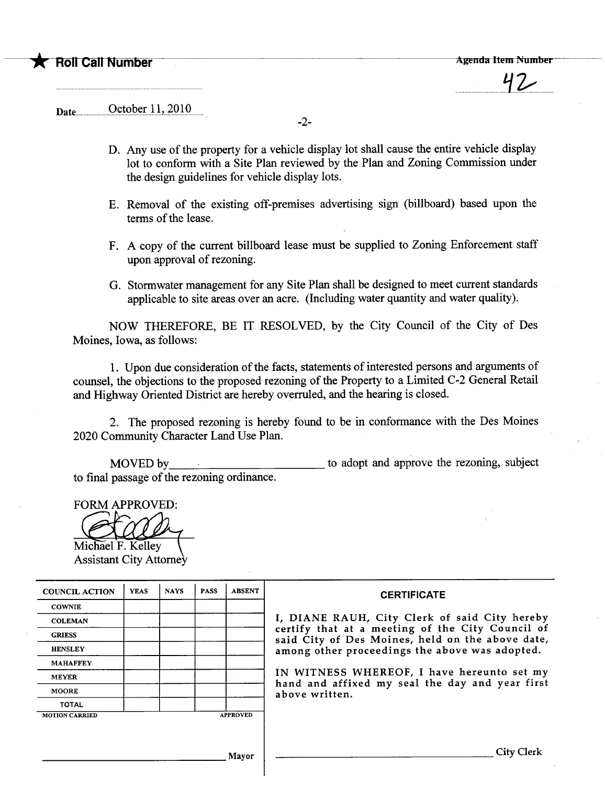$\overline{\mathbf{v}}$ 

Date.uu... ........u..~t9.h~r-J.Ji.~QJQ.....

-2-

- D. Any use of the property for a vehicle display lot shall cause the entire vehicle display lot to conform with a Site Plan reviewed by the Plan and Zoning Commission under the design guidelines for vehicle display lots.
- E. Removal of the existing off-premises advertising sign (bilboard) based upon the terms of the lease.
- F. A copy of the curent bilboard lease must be supplied to Zoning Enforcement staff upon approval of rezoning.
- G. Stormwater management for any Site Plan shall be designed to meet curent stadards applicable to site areas over an acre. (Including water quatity and water quality).

NOW THEREFORE, BE IT RESOLVED, by the City Council of the City of Des Moines, Iowa, as follows:

1. Upon due consideration of the facts, statements of interested persons and arguments of counsel, the objections to the proposed rezoning of the Property to a Limited C-2 General Retail and Highway Oriented District are hereby overruled, and the hearing is closed.

2. The proposed rezoning is hereby found to be in conformance with the Des Moines 2020 Communty Character Land Use Plan.

MOVED by to final passage of the rezoning ordinance. to adopt and approve the rezoning, subject

FORM APPROVED:

Michael F. Kelley Assistant City Attorney

| <b>COUNCIL ACTION</b> | <b>YEAS</b> | <b>NAYS</b> | <b>PASS</b> | <b>ABSENT</b>   | <b>CERTIFICATE</b>                                                                                   |  |  |  |  |  |  |
|-----------------------|-------------|-------------|-------------|-----------------|------------------------------------------------------------------------------------------------------|--|--|--|--|--|--|
| <b>COWNIE</b>         |             |             |             |                 |                                                                                                      |  |  |  |  |  |  |
| <b>COLEMAN</b>        |             |             |             |                 | I, DIANE RAUH, City Clerk of said City hereby                                                        |  |  |  |  |  |  |
| <b>GRIESS</b>         |             |             |             |                 | certify that at a meeting of the City Council of<br>said City of Des Moines, held on the above date, |  |  |  |  |  |  |
| <b>HENSLEY</b>        |             |             |             |                 | among other proceedings the above was adopted.                                                       |  |  |  |  |  |  |
| <b>MAHAFFEY</b>       |             |             |             |                 |                                                                                                      |  |  |  |  |  |  |
| <b>MEYER</b>          |             |             |             |                 | IN WITNESS WHEREOF, I have hereunto set my                                                           |  |  |  |  |  |  |
| <b>MOORE</b>          |             |             |             |                 | hand and affixed my seal the day and year first<br>above written.                                    |  |  |  |  |  |  |
| <b>TOTAL</b>          |             |             |             |                 |                                                                                                      |  |  |  |  |  |  |
| <b>MOTION CARRIED</b> |             |             |             | <b>APPROVED</b> |                                                                                                      |  |  |  |  |  |  |
|                       |             |             |             |                 |                                                                                                      |  |  |  |  |  |  |
|                       |             |             |             |                 |                                                                                                      |  |  |  |  |  |  |
| Mayor                 |             |             |             |                 | City Clerk                                                                                           |  |  |  |  |  |  |
|                       |             |             |             |                 |                                                                                                      |  |  |  |  |  |  |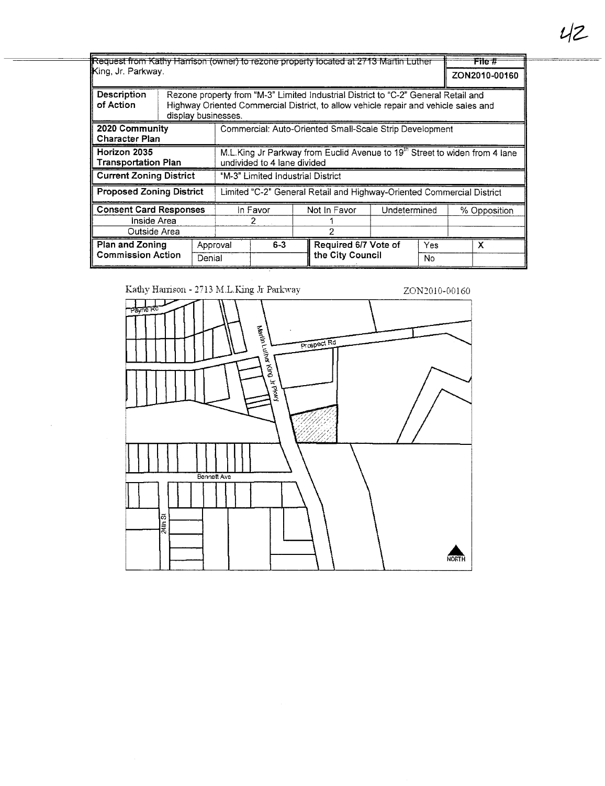Request from Kathy Harrison (owner) to rezone property located at 2713 Martin Luther  $File#$ King, Jr. Parkway. ZON2010-00160 **Description** Rezone property from "M-3" Limited Industrial District to "C-2" General Retail and of Action Highway Oriented Commercial District, to allow vehicle repair and vehicle sales and display businesses. 2020 Community Commercial: Auto-Oriented Small-Scale Strip Development **Character Plan** M.L.King Jr Parkway from Euclid Avenue to 19<sup>th</sup> Street to widen from 4 lane Horizon 2035 **Transportation Plan** undivided to 4 lane divided **Current Zoning District** "M-3" Limited Industrial District **Proposed Zoning District** Limited "C-2" General Retail and Highway-Oriented Commercial District **Consent Card Responses** In Favor Not In Favor Undetermined % Opposition Inside Area  $\overline{2}$ 1 Outside Area  $\overline{2}$ Plan and Zoning  $6 - 3$ Required 6/7 Vote of Approval  $\overline{\mathsf{x}}$ **Commission Action** the City Council Denial  $\overline{N_{0}}$ 

Kathy Harrison - 2713 M.L.King Jr Parkway

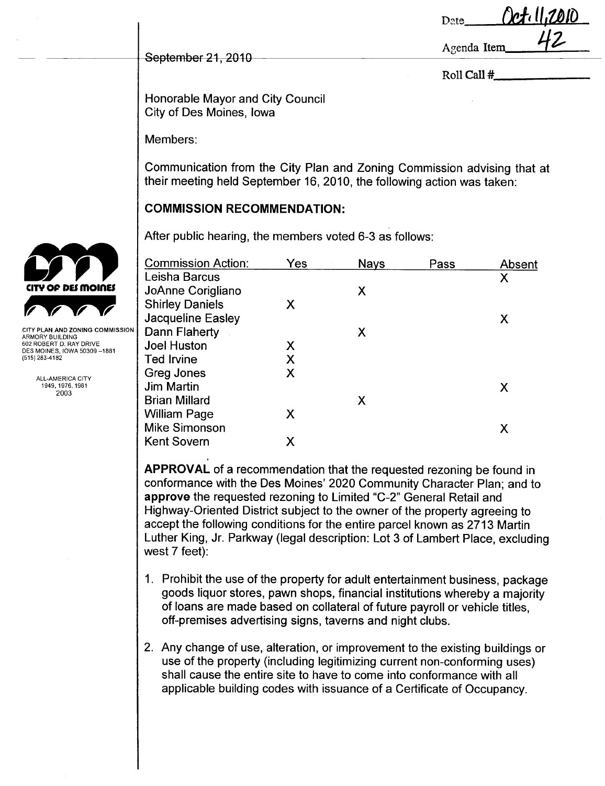| Date        | <i>Ceti</i> ll,2010 |
|-------------|---------------------|
| Agenda Item |                     |

Roll Call #

Honorable Mayor and City Council City of Des Moines, Iowa

Members:

September 21, 2010

Communication from the City Plan and Zoning Commission advising that at their meeting held September 16, 2010, the following action was taken:

# **COMMISSION RECOMMENDATION:**

|                                                        | After public hearing, the members voted 6-3 as follows: |     |             |      |        |
|--------------------------------------------------------|---------------------------------------------------------|-----|-------------|------|--------|
|                                                        | <b>Commission Action:</b>                               | Yes | <b>Nays</b> | Pass | Absent |
|                                                        | Leisha Barcus                                           |     |             |      | Χ      |
| CITY OF DES MOINES                                     | JoAnne Corigliano                                       |     | X           |      |        |
|                                                        | <b>Shirley Daniels</b>                                  | X   |             |      |        |
|                                                        | Jacqueline Easley                                       |     |             |      | Х      |
| CITY PLAN AND ZONING COMMISSION<br>ARMORY BUILDING     | Dann Flaherty                                           |     | X           |      |        |
| 602 ROBERT D. RAY DRIVE<br>DES MOINES, IOWA 50309-1881 | <b>Joel Huston</b>                                      | Χ   |             |      |        |
| (515) 283-4182                                         | <b>Ted Irvine</b>                                       |     |             |      |        |
| ALL-AMERICA CITY                                       | Greg Jones                                              | Χ   |             |      |        |
| 1949, 1976, 1981                                       | <b>Jim Martin</b>                                       |     |             |      | X      |
| 2003                                                   | <b>Brian Millard</b>                                    |     | X           |      |        |
|                                                        | <b>William Page</b>                                     | Χ   |             |      |        |
|                                                        | <b>Mike Simonson</b>                                    |     |             |      | Χ      |
|                                                        | <b>Kent Sovern</b>                                      | Χ   |             |      |        |
|                                                        |                                                         |     |             |      |        |

APPROVAL of a recommendation that the requested rezoning be found in conformance with the Des Moines' 2020 Community Character Plan; and to approve the requested rezoning to Limited "C-2" General Retail and Highway-Oriented District subject to the owner of the property agreeing to accept the following conditions for the entire parcel known as 2713 Martin Luther King, Jr. Parkway (legal description: Lot 3 of Lambert Place, excluding west 7 feet):

- 1. Prohibit the use of the property for adult entertainment business, package goods liquor stores, pawn shops, financial institutions whereby a majority of loans are made based on collateral of future payroll or vehicle titles, off-premises advertising signs, taverns and night clubs.
- 2. Any change of use, alteration, or improvement to the existing buildings or use of the property (including legitimizing current non-conforming uses) shall cause the entire site to have to come into conformance with all applicable building codes with issuance of a Certificate of Occupancy.

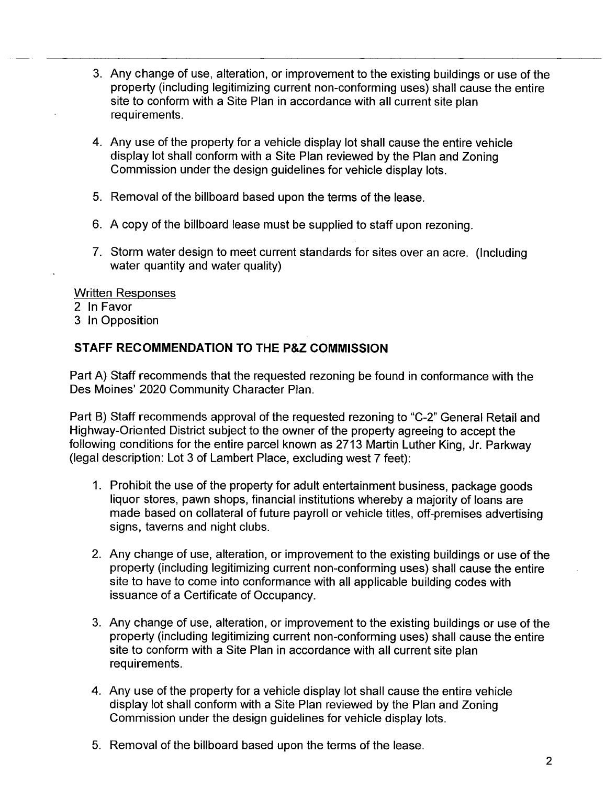- 3. Any change of use, alteration, or improvement to the existing buildings or use of the property (including legitimizing current non-conforming uses) shall cause the entire site to conform with a Site Plan in accordance with all current site plan requirements.
- 4. Any use of the property for a vehicle display lot shall cause the entire vehicle display lot shall conform with a Site Plan reviewed by the Plan and Zoning Commission under the design guidelines for vehicle display lots.
- 5. Removal of the billboard based upon the terms of the lease.
- 6. A copy of the billboard lease must be supplied to staff upon rezoning.
- 7. Storm water design to meet current standards for sites over an acre. (Including water quantity and water quality)

#### Written Responses

- 2 In Favor
- 3 In Opposition

# STAFF RECOMMENDATION TO THE P&Z COMMISSION

Part A) Staff recommends that the requested rezoning be found in conformance with the Des Moines' 2020 Community Character Plan.

Part B) Staff recommends approval of the requested rezoning to "C-2" General Retail and Highway-Oriented District subject to the owner of the property agreeing to accept the following conditions for the entire parcel known as 2713 Martin Luther King, Jr. Parkway (legal description: Lot 3 of Lambert Place, excluding west 7 feet):

- 1. Prohibit the use of the property for adult entertainment business, package goods liquor stores, pawn shops, financial institutions whereby a majority of loans are made based on collateral of future payroll or vehicle titles, off-premises advertising signs, taverns and night clubs.
- 2. Any change of use, alteration, or improvement to the existing buildings or use of the property (including legitimizing current non-conforming uses) shall cause the entire site to have to come into conformance with all applicable building codes with issuance of a Certificate of Occupancy.
- 3. Any change of use, alteration, or improvement to the existing buildings or use of the property (including legitimizing current non-conforming uses) shall cause the entire site to conform with a Site Plan in accordance with all current site plan requirements.
- 4. Any use of the property for a vehicle display lot shall cause the entire vehicle display lot shall conform with a Site Plan reviewed by the Plan and Zoning Commission under the design guidelines for vehicle display lots.
- 5. Removal of the billboard based upon the terms of the lease.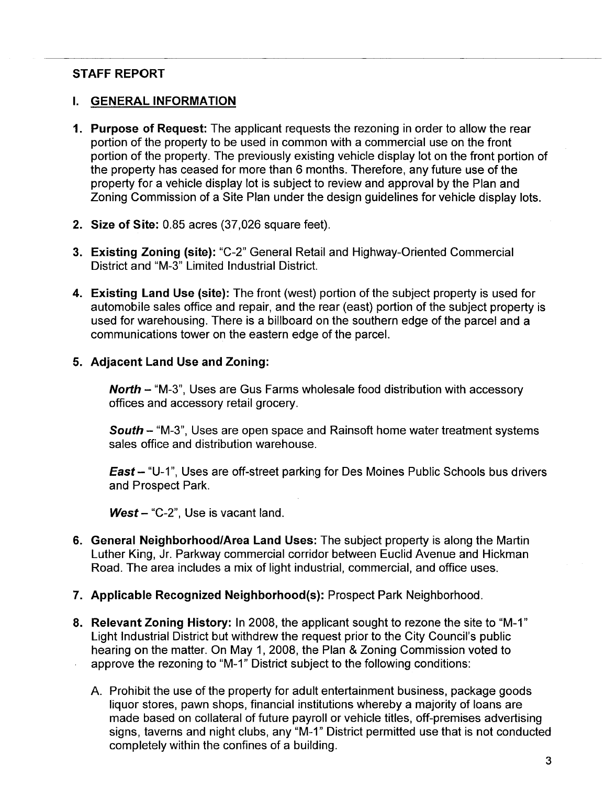### STAFF REPORT

#### i. GENERAL INFORMATION

- 1. Purpose of Request: The applicant requests the rezoning in order to allow the rear portion of the property to be used in common with a commercial use on the front portion of the property. The previously existing vehicle display lot on the front portion of the property has ceased for more than 6 months. Therefore, any future use of the property for a vehicle display lot is subject to review and approval by the Plan and Zoning Commission of a Site Plan under the design guidelines for vehicle display lots.
- 2. Size of Site: 0.85 acres (37,026 square feet).
- 3. Existing Zoning (site): "C-2" General Retail and Highway-Oriented Commercial District and "M-3" Limited Industrial District.
- 4. Existing Land Use (site): The front (west) portion of the subject property is used for automobile sales office and repair, and the rear (east) portion of the subject property is used for warehousing. There is a bilboard on the southern edge of the parcel and a communications tower on the eastern edge of the parceL.

#### 5. Adjacent Land Use and Zoning:

North - "M-3", Uses are Gus Farms wholesale food distribution with accessory offices and accessory retail grocery.

South - "M-3", Uses are open space and Rainsoft home water treatment systems sales office and distribution warehouse.

East - "U-1", Uses are off-street parking for Des Moines Public Schools bus drivers and Prospect Park.

West  $-$  "C-2", Use is vacant land.

- 6. General Neighborhood/Area Land Uses: The subject property is along the Martin Luther King, Jr. Parkway commercial corridor between Euclid Avenue and Hickman Road. The area includes a mix of light industrial, commercial, and office uses.
- 7. Applicable Recognized Neighborhood(s): Prospect Park Neighborhood.
- 8. Relevant Zoning History: In 2008, the applicant sought to rezone the site to "M-1" Light Industrial District but withdrew the request prior to the City Council's public hearing on the matter. On May 1, 2008, the Plan & Zoning Commission voted to approve the rezoning to "M\_1" District subject to the following conditions:
	- A. Prohibit the use of the property for adult entertainment business, package goods liquor stores, pawn shops, financial institutions whereby a majority of loans are made based on collateral of future payroll or vehicle titles, off-premises advertising signs, taverns and night clubs, any "M\_1" District permitted use that is not conducted completely within the confines of a building.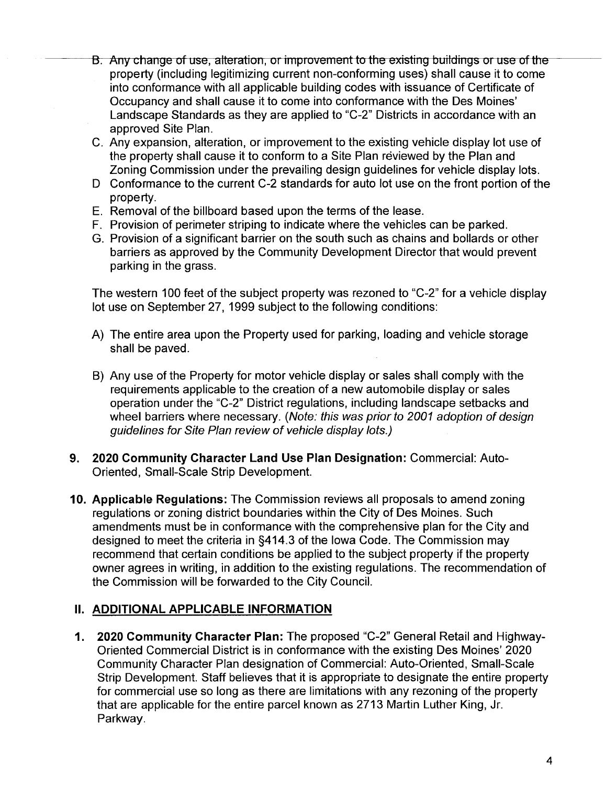- B. Any change of use, alteration, or improvement to the existing buildings or use of the property (including legitimizing current non-conforming uses) shall cause it to come into conformance with all applicable building codes with issuance of Certificate of Occupancy and shall cause it to come into conformance with the Des Moines' Landscape Standards as they are applied to "C-2" Districts in accordance with an approved Site Plan.
- C. Any expansion, alteration, or improvement to the existing vehicle display lot use of the property shall cause it to conform to a Site Plan reviewed by the Plan and Zoning Commission under the prevailing design guidelines for vehicle display lots.
- D Conformance to the current C-2 standards for auto lot use on the front portion of the property.
- E. Removal of the billboard based upon the terms of the lease.
- F. Provision of perimeter striping to indicate where the vehicles can be parked.
- G. Provision of a significant barrier on the south such as chains and bollards or other barriers as approved by the Community Development Director that would prevent parking in the grass.

The western 100 feet of the subject property was rezoned to "C-2" for a vehicle display lot use on September 27, 1999 subject to the following conditions:

- A) The entire area upon the Property used for parking, loading and vehicle storage shall be paved.
- B) Any use of the Property for motor vehicle display or sales shall comply with the requirements applicable to the creation of a new automobile display or sales operation under the "C-2" District regulations, including landscape setbacks and wheel barriers where necessary. (Note: this was prior to 2001 adoption of design guidelines for Site Plan review of vehicle display lots.)
- 9. 2020 Community Character Land Use Plan Designation: Commercial: Auto-Oriented, Small-Scale Strip Development.
- 10. Applicable Regulations: The Commission reviews all proposals to amend zoning regulations or zoning district boundaries within the City of Des Moines. Such amendments must be in conformance with the comprehensive plan for the City and designed to meet the criteria in §414.3 of the Iowa Code. The Commission may recommend that certain conditions be applied to the subject property if the property owner agrees in writing, in addition to the existing regulations. The recommendation of the Commission will be forwarded to the City CounciL.

# II. ADDITIONAL APPLICABLE INFORMATION

1. 2020 Community Character Plan: The proposed "C\_2" General Retail and Highway-Oriented Commercial District is in conformance with the existing Des Moines' 2020 Community Character Plan designation of Commercial: Auto-Oriented, Small-Scale Strip Development. Staff believes that it is appropriate to designate the entire property for commercial use so long as there are limitations with any rezoning of the property that are applicable for the entire parcel known as 2713 Martin Luther King, Jr. Parkway.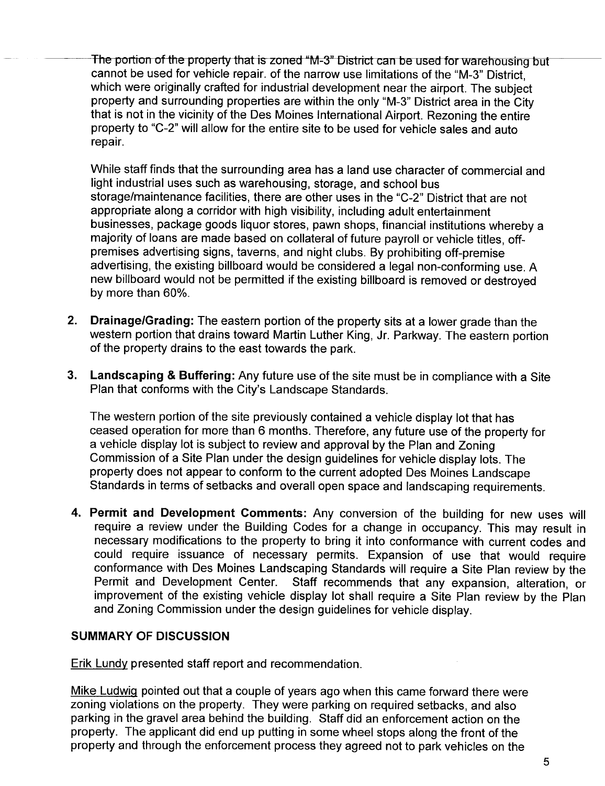The portion of the property that is zoned "M-3" District can be used for warehousing but cannot be used for vehicle repair. of the narrow use limitations of the "M-3" District, which were originally crafted for industrial development near the airport. The subject property and surrounding properties are within the only "M-3" District area in the City that is not in the vicinity of the Des Moines International Airport. Rezoning the entire property to "C-2" will allow for the entire site to be used for vehicle sales and auto repair.

While staff finds that the surrounding area has a land use character of commercial and light industrial uses such as warehousing, storage, and school bus storage/maintenance facilities, there are other uses in the "C-2" District that are not appropriate along a corridor with high visibilty, including adult entertainment businesses, package goods liquor stores, pawn shops, financial institutions whereby a majority of loans are made based on collateral of future payroll or vehicle titles, offpremises advertising signs, taverns, and night clubs. By prohibiting off-premise advertising, the existing billboard would be considered a legal non-conforming use. A new billboard would not be permitted if the existing billboard is removed or destroyed by more than 60%.

- 2. Drainage/Grading: The eastern portion of the property sits at a lower grade than the western portion that drains toward Martin Luther King, Jr. Parkway. The eastern portion of the property drains to the east towards the park.
- 3. Landscaping & Buffering: Any future use of the site must be in compliance with a Site Plan that conforms with the City's Landscape Standards.

The western portion of the site previously contained a vehicle display lot that has ceased operation for more than 6 months. Therefore, any future use of the property for a vehicle display lot is subject to review and approval by the Plan and Zoning Commission of a Site Plan under the design guidelines for vehicle display lots. The property does not appear to conform to the current adopted Des Moines Landscape Standards in terms of setbacks and overall open space and landscaping requirements.

4. Permit and Development Comments: Any conversion of the building for new uses will require a review under the Building Codes for a change in occupancy. This may result in necessary modifications to the property to bring it into conformance with current codes and could require issuance of necessary permits. Expansion of use that would require conformance with Des Moines Landscaping Standards will require a Site Plan review by the Permit and Development Center. Staff recommends that any expansion, alteration, or improvement of the existing vehicle display lot shall require a Site Plan review by the Plan and Zoning Commission under the design guidelines for vehicle display.

#### SUMMARY OF DISCUSSION

Erik Lundy presented staff report and recommendation.

Mike Ludwiq pointed out that a couple of years ago when this came forward there were zoning violations on the property. They were parking on required setbacks, and also parking in the gravel area behind the building. Staff did an enforcement action on the property. The applicant did end up putting in some wheel stops along the front of the property and through the enforcement process they agreed not to park vehicles on the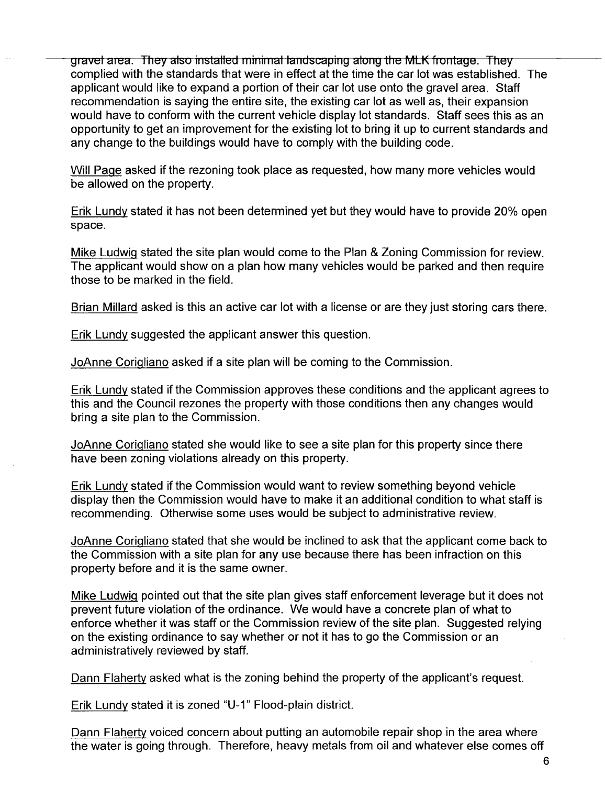grävel äreä. They älso installed minimal ländscäping älong the MLK frontäge. They complied with the standards that were in effect at the time the car lot was established. The applicant would like to expand a portion of their car lot use onto the gravel area. Staff recommendation is saying the entire site, the existing car lot as well as, their expansion would have to conform with the current vehicle display lot standards. Staff sees this as an opportunity to get an improvement for the existing lot to bring it up to current standards and any change to the buildings would have to comply with the building code.

Will Paqe asked if the rezoning took place as requested, how many more vehicles would be allowed on the property.

Erik Lundy stated it has not been determined yet but they would have to provide 20% open space.

Mike Ludwiq stated the site plan would come to the Plan & Zoning Commission for review. The applicant would show on a plan how many vehicles would be parked and then require those to be marked in the field.

Brian Millard asked is this an active car lot with a license or are they just storing cars there.

Erik Lundy suggested the applicant answer this question.

JoAnne Coriqliano asked if a site plan will be coming to the Commission.

Erik Lundy stated if the Commission approves these conditions and the applicant agrees to this and the Council rezones the property with those conditions then any changes would bring a site plan to the Commission.

JoAnne Coriqliano stated she would like to see a site plan for this property since there have been zoning violations already on this property.

Erik Lundy stated if the Commission would want to review something beyond vehicle display then the Commission would have to make it an additional condition to what staff is recommending. Otherwise some uses would be subject to administrative review.

JoAnne Coriqliano stated that she would be inclined to ask that the applicant come back to the Commission with a site plan for any use because there has been infraction on this property before and it is the same owner.

Mike Ludwiq pointed out that the site plan gives staff enforcement leverage but it does not prevent future violation of the ordinance. We would have a concrete plan of what to enforce whether it was staff or the Commission review of the site plan. Suggested relying on the existing ordinance to say whether or not it has to go the Commission or an administratively reviewed by staff.

Oann Flaherty asked what is the zoning behind the property of the applicant's request.

Erik Lundy stated it is zoned "U-1" Flood-plain district.

Oann Flaherty voiced concern about putting an automobile repair shop in the area where the water is going through. Therefore, heavy metals from oil and whatever else comes off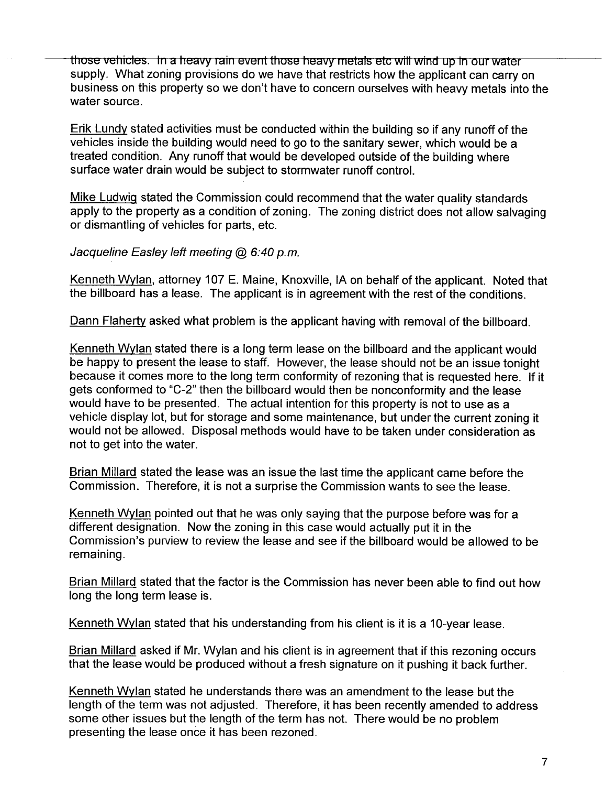those vehicles. In a heavy rain event those heavy metals etc will wind up in our water supply. What zoning provisions do we have that restricts how the applicant can carry on business on this property so we don't have to concern ourselves with heavy metals into the water source.

Erik Lundy stated activities must be conducted within the building so if any runoff of the vehicles inside the building would need to go to the sanitary sewer, which would be a treated condition. Any runoff that would be developed outside of the building where surface water drain would be subject to stormwater runoff control.

Mike Ludwiq stated the Commission could recommend that the water quality standards apply to the property as a condition of zoning. The zoning district does not allow salvaging or dismantling of vehicles for parts, etc.

Jacqueline Easley left meeting  $@6.40 p.m.$ 

Kenneth Wvlan, attorney 107 E. Maine, Knoxville, IA on behalf of the applicant. Noted that the billboard has a lease. The applicant is in agreement with the rest of the conditions.

Dann Flahertv asked what problem is the applicant having with removal of the billboard.

Kenneth Wylan stated there is a long term lease on the billboard and the applicant would be happy to present the lease to staff. However, the lease should not be an issue tonight because it comes more to the long term conformity of rezoning that is requested here. If it gets conformed to "C-2" then the billboard would then be nonconformity and the lease would have to be presented. The actual intention for this property is not to use as a vehicle display lot, but for storage and some maintenance, but under the current zoning it would not be allowed. Disposal methods would have to be taken under consideration as not to get into the water.

Brian Millard stated the lease was an issue the last time the applicant came before the Commission. Therefore, it is not a surprise the Commission wants to see the lease.

Kenneth Wvlan pointed out that he was only saying that the purpose before was for a different designation. Now the zoning in this case would actually put it in the Commission's purview to review the lease and see if the billboard would be allowed to be remaining.

Brian Millard stated that the factor is the Commission has never been able to find out how long the long term lease is.

Kenneth Wylan stated that his understanding from his client is it is a 10-year lease.

Brian Millard asked if Mr. Wylan and his client is in agreement that if this rezoning occurs that the lease would be produced without a fresh signature on it pushing it back further.

Kenneth Wvlan stated he understands there was an amendment to the lease but the length of the term was not adjusted. Therefore, it has been recently amended to address some other issues but the length of the term has not. There would be no problem presenting the lease once it has been rezoned.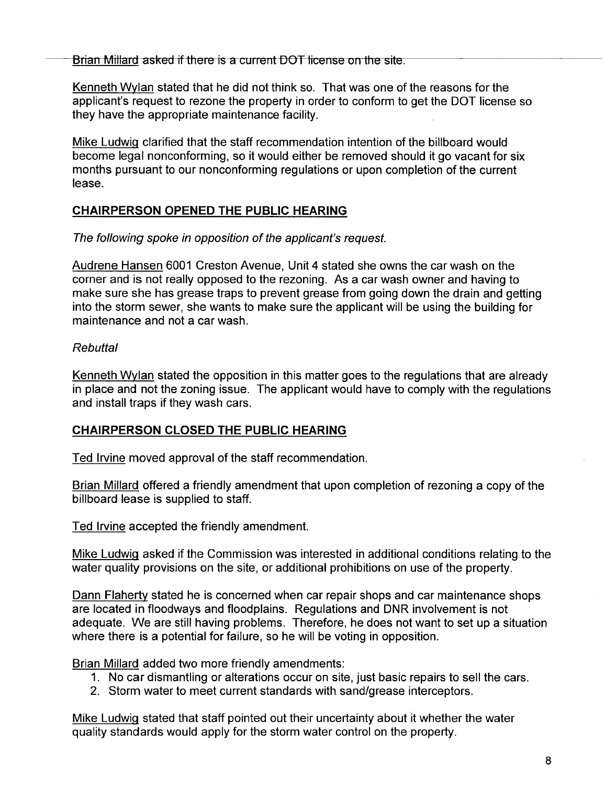Brian Millard asked if there is a current DOT license on the site.

Kenneth Wylan stated that he did not think so. That was one of the reasons for the applicant's request to rezone the property in order to conform to get the DOT license so they have the appropriate maintenance facility.

Mike Ludwiq clarified that the staff recommendation intention of the billboard would become legal nonconforming, so it would either be removed should it go vacant for six months pursuant to our nonconforming regulations or upon completion of the current lease.

# CHAIRPERSON OPENED THE PUBLIC HEARING

The following spoke in opposition of the applicant's request.

Audrene Hansen 6001 Creston Avenue, Unit 4 stated she owns the car wash on the corner and is not really opposed to the rezoning. As a car wash owner and having to make sure she has grease traps to prevent grease from going down the drain and getting into the storm sewer, she wants to make sure the applicant will be using the building for maintenance and not a car wash.

### Rebuttal

Kenneth Wylan stated the opposition in this matter goes to the regulations that are already in place and not the zoning issue. The applicant would have to comply with the regulations and install traps if they wash cars.

# CHAIRPERSON CLOSED THE PUBLIC HEARING

Ted Irvine moved approval of the staff recommendation.

Brian Millard offered a friendly amendment that upon completion of rezoning a copy of the billboard lease is supplied to staff.

Ted Irvine accepted the friendly amendment.

Mike Ludwiq asked if the Commission was interested in additional conditions relating to the water quality provisions on the site, or additional prohibitions on use of the property.

Dann Flaherty stated he is concerned when car repair shops and car maintenance shops are located in floodways and floodplains. Regulations and DNR involvement is not adequate. We are still having problems. Therefore, he does not want to set up a situation where there is a potential for failure, so he will be voting in opposition.

Brian Millard added two more friendly amendments:

- 1. No car dismantling or alterations occur on site, just basic repairs to sell the cars.
- 2. Storm water to meet current standards with sand/grease interceptors.

Mike Ludwiq stated that staff pointed out their uncertainty about it whether the water quality standards would apply for the storm water control on the property.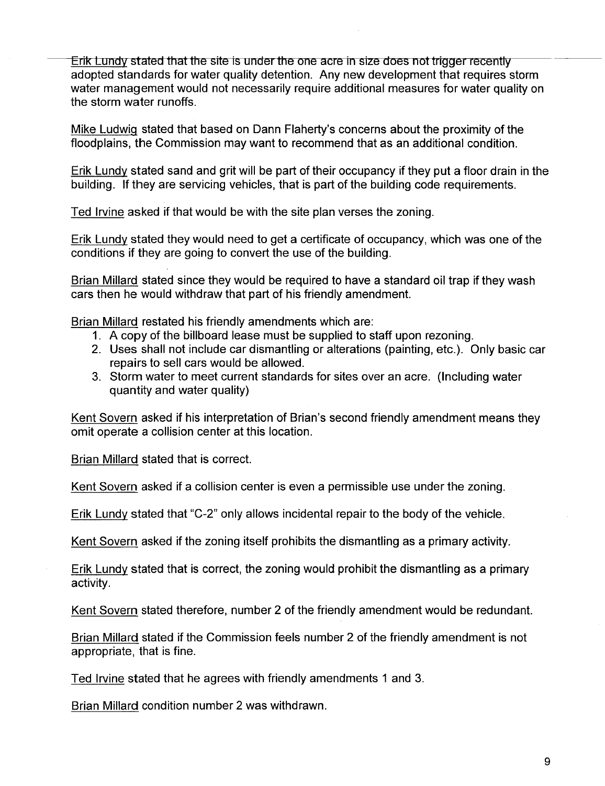Erik Lundy stated that the site is under the one acre in size does not trigger recently adopted standards for water quality detention. Any new development that requires storm water management would not necessarily require additional measures for water quality on the storm water runoffs.

Mike Ludwiq stated that based on Oann Flaherty's concerns about the proximity of the floodplains, the Commission may want to recommend that as an additional condition.

Erik Lundy stated sand and grit will be part of their occupancy if they put a floor drain in the building. If they are servicing vehicles, that is part of the building code requirements.

Ted Irvine asked if that would be with the site plan verses the zoning.

Erik Lundy stated they would need to get a certificate of occupancy, which was one of the conditions if they are going to convert the use of the building.

Brian Millard stated since they would be required to have a standard oil trap if they wash cars then he would withdraw that part of his friendly amendment.

Brian Millard restated his friendly amendments which are:

- 1. A copy of the billboard lease must be supplied to staff upon rezoning.
- 2. Uses shall not include car dismantling or alterations (painting, etc.). Only basic car repairs to sell cars would be allowed.
- 3. Storm water to meet current standards for sites over an acre. (Including water quantity and water quality)

Kent Sovern asked if his interpretation of Brian's second friendly amendment means they omit operate a collision center at this location.

Brian Millard stated that is correct.

Kent Sovern asked if a collision center is even a permissible use under the zoning.

Erik Lundy stated that "C-2" only allows incidental repair to the body of the vehicle.

Kent Sovern asked if the zoning itself prohibits the dismantling as a primary activity.

Erik Lundy stated that is correct, the zoning would prohibit the dismantling as a primary activity.

Kent Sovern stated therefore, number 2 of the friendly amendment would be redundant.

Brian Millard stated if the Commission feels number 2 of the friendly amendment is not appropriate, that is fine.

Ted Irvine stated that he agrees with friendly amendments 1 and 3.

Brian Millard condition number 2 was withdrawn.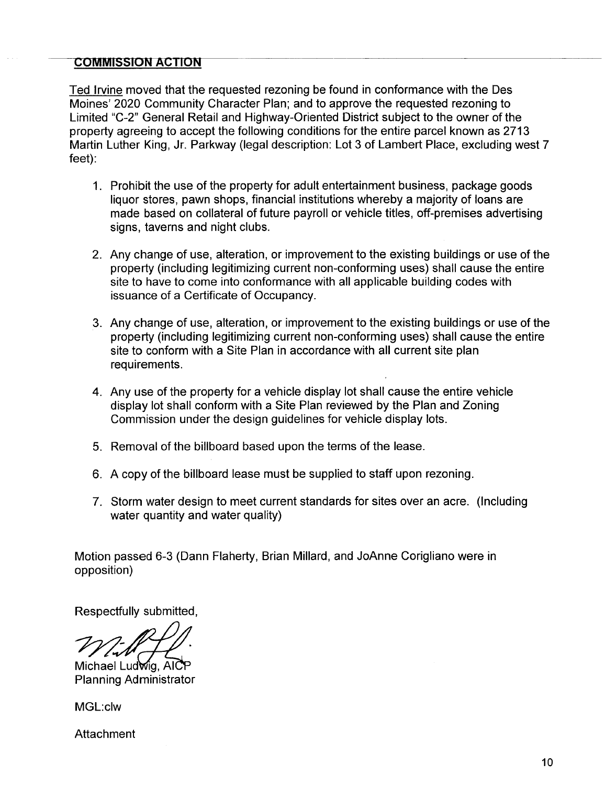#### **COMMISSION ACTION**

Ted Irvine moved that the requested rezoning be found in conformance with the Des Moines' 2020 Community Character Plan; and to approve the requested rezoning to Limited "C\_2" General Retail and Highway-Oriented District subject to the owner of the property agreeing to accept the following conditions for the entire parcel known as 2713 Martin Luther King, Jr. Parkway (legal description: Lot 3 of Lambert Place, excluding west 7 feet):

- 1. Prohibit the use of the property for adult entertainment business, package goods liquor stores, pawn shops, financial institutions whereby a majority of loans are made based on collateral of future payroll or vehicle titles, off-premises advertising signs, taverns and night clubs.
- 2. Any change of use, alteration, or improvement to the existing buildings or use of the property (including legitimizing current non-conforming uses) shall cause the entire site to have to come into conformance with all applicable building codes with issuance of a Certificate of Occupancy.
- 3. Any change of use, alteration, or improvement to the existing buildings or use of the property (including legitimizing current non-conforming uses) shall cause the entire site to conform with a Site Plan in accordance with all current site plan requirements.
- 4. Any use of the property for a vehicle display lot shall cause the entire vehicle display lot shall conform with a Site Plan reviewed by the Plan and Zoning Commission under the design guidelines for vehicle display lots.
- 5. Removal of the billboard based upon the terms of the lease.
- 6. A copy of the billboard lease must be supplied to staff upon rezoning.
- 7. Storm water design to meet current standards for sites over an acre. (Including water quantity and water quality)

Motion passed 6-3 (Dann Flaherty, Brian Millard, and JoAnne Corigliano were in opposition)

Respectfully submitted,

Michael Ludwig, AIC

**Planning Administrator** 

MGL:clw

Attachment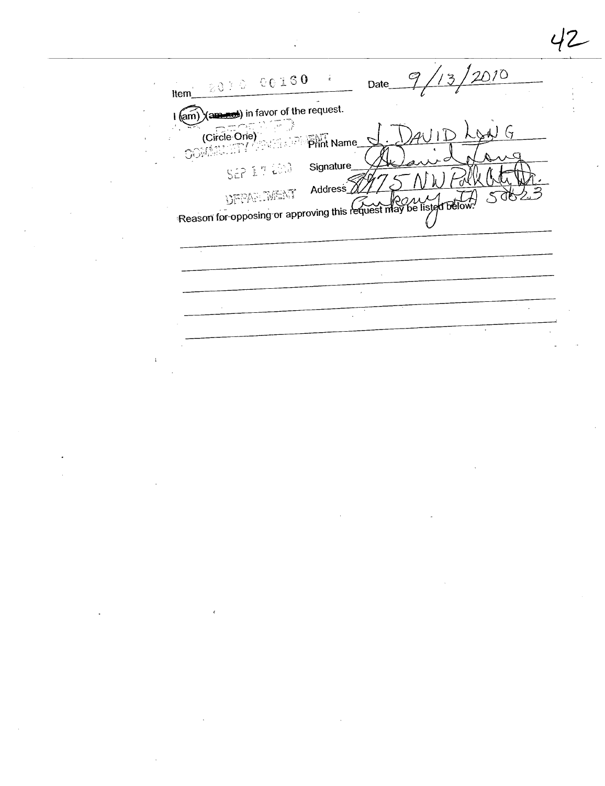$2010$ 2010 00160  $\mathcal{C}_{\!\!f}$  $\frac{1}{2}$ Date\_ Item  $\frac{1}{\text{(am)}}$   $\text{(am)}$   $\text{(am)}$   $\text{(am)}$  in favor of the request. COMENTY THE ISLAND PHINT Name SEP 17 200 Signature Address $\sqrt{ }$ DEPARTMENT Reason for opposing or approving this request may be listed below.  $\mathbb{Z}$  $\ddot{\phantom{0}}$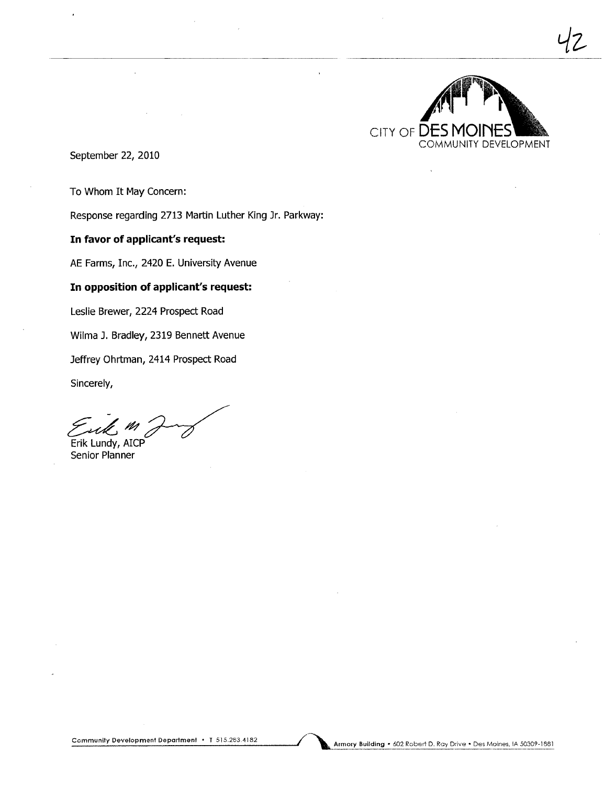

tlz,

September 22, 2010

To Whom It May Concern:

Response regarding 2713 Martin Luther King Jr. Parkway:

In favor of applicant's request:

AE Farms, Inc., 2420 E. University Avenue

#### In opposition of applicant's request:

Leslie Brewer, 2224 Prospect Road

Wilma J. Bradley, 2319 Bennett Avenue

Jeffrey Ohrtman, 2414 Prospect Road

Sincerely,

 $~^\circ$ Sincerely,<br> $~^\circ$ Erik Lundy, AICP

Senior Planner